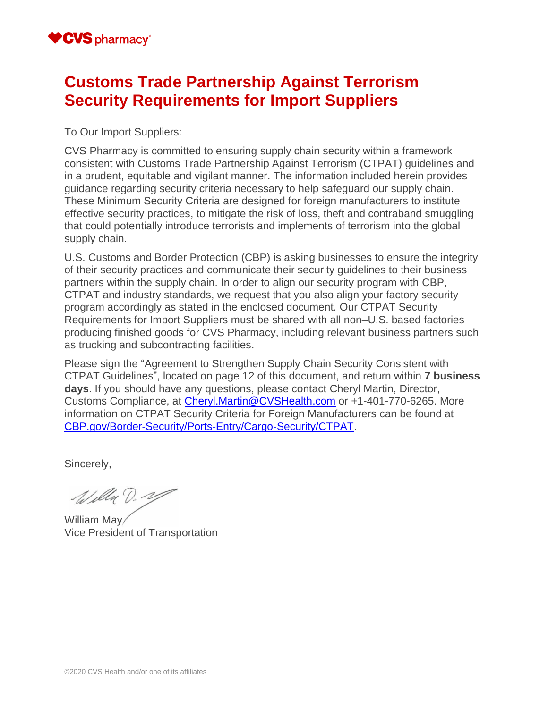### **Customs Trade Partnership Against Terrorism Security Requirements for Import Suppliers**

To Our Import Suppliers:

CVS Pharmacy is committed to ensuring supply chain security within a framework consistent with Customs Trade Partnership Against Terrorism (CTPAT) guidelines and in a prudent, equitable and vigilant manner. The information included herein provides guidance regarding security criteria necessary to help safeguard our supply chain. These Minimum Security Criteria are designed for foreign manufacturers to institute effective security practices, to mitigate the risk of loss, theft and contraband smuggling that could potentially introduce terrorists and implements of terrorism into the global supply chain.

U.S. Customs and Border Protection (CBP) is asking businesses to ensure the integrity of their security practices and communicate their security guidelines to their business partners within the supply chain. In order to align our security program with CBP, CTPAT and industry standards, we request that you also align your factory security program accordingly as stated in the enclosed document. Our CTPAT Security Requirements for Import Suppliers must be shared with all non–U.S. based factories producing finished goods for CVS Pharmacy, including relevant business partners such as trucking and subcontracting facilities.

Please sign the "Agreement to Strengthen Supply Chain Security Consistent with CTPAT Guidelines", located on page 12 of this document, and return within **7 business days**. If you should have any questions, please contact Cheryl Martin, Director, Customs Compliance, at [Cheryl.Martin@CVSHealth.com](mailto:cheryl.martin@cvshealth.com) or +1-401-770-6265. More information on CTPAT Security Criteria for Foreign Manufacturers can be found at [CBP.gov/Border-Security/Ports-Entry/Cargo-Security/CTPAT.](https://www.cbp.gov/border-security/ports-entry/cargo-security/ctpat)

Sincerely,

Willa D. 29

William May Vice President of Transportation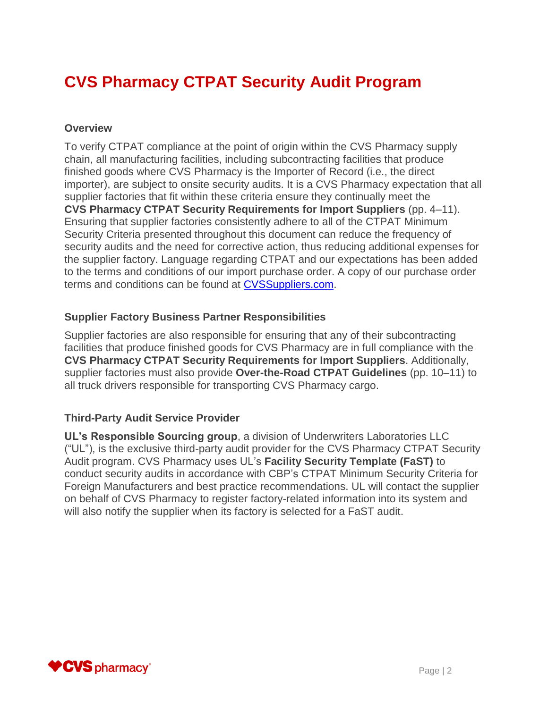# **CVS Pharmacy CTPAT Security Audit Program**

#### **Overview**

To verify CTPAT compliance at the point of origin within the CVS Pharmacy supply chain, all manufacturing facilities, including subcontracting facilities that produce finished goods where CVS Pharmacy is the Importer of Record (i.e., the direct importer), are subject to onsite security audits. It is a CVS Pharmacy expectation that all supplier factories that fit within these criteria ensure they continually meet the **CVS Pharmacy CTPAT Security Requirements for Import Suppliers** (pp. 4–11). Ensuring that supplier factories consistently adhere to all of the CTPAT Minimum Security Criteria presented throughout this document can reduce the frequency of security audits and the need for corrective action, thus reducing additional expenses for the supplier factory. Language regarding CTPAT and our expectations has been added to the terms and conditions of our import purchase order. A copy of our purchase order terms and conditions can be found at [CVSSuppliers.com.](http://www.cvssuppliers.com/)

#### **Supplier Factory Business Partner Responsibilities**

Supplier factories are also responsible for ensuring that any of their subcontracting facilities that produce finished goods for CVS Pharmacy are in full compliance with the **CVS Pharmacy CTPAT Security Requirements for Import Suppliers**. Additionally, supplier factories must also provide **Over-the-Road CTPAT Guidelines** (pp. 10–11) to all truck drivers responsible for transporting CVS Pharmacy cargo.

#### **Third-Party Audit Service Provider**

**UL's Responsible Sourcing group**, a division of Underwriters Laboratories LLC ("UL"), is the exclusive third-party audit provider for the CVS Pharmacy CTPAT Security Audit program. CVS Pharmacy uses UL's **Facility Security Template (FaST)** to conduct security audits in accordance with CBP's CTPAT Minimum Security Criteria for Foreign Manufacturers and best practice recommendations. UL will contact the supplier on behalf of CVS Pharmacy to register factory-related information into its system and will also notify the supplier when its factory is selected for a FaST audit.

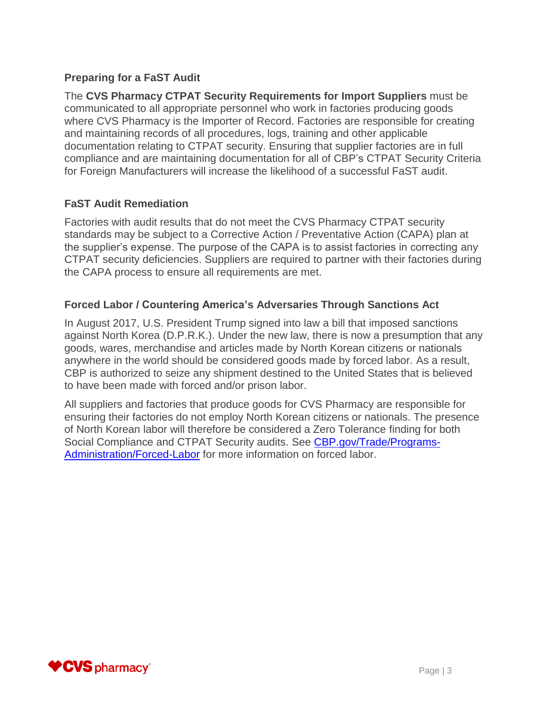#### **Preparing for a FaST Audit**

The **CVS Pharmacy CTPAT Security Requirements for Import Suppliers** must be communicated to all appropriate personnel who work in factories producing goods where CVS Pharmacy is the Importer of Record. Factories are responsible for creating and maintaining records of all procedures, logs, training and other applicable documentation relating to CTPAT security. Ensuring that supplier factories are in full compliance and are maintaining documentation for all of CBP's CTPAT Security Criteria for Foreign Manufacturers will increase the likelihood of a successful FaST audit.

#### **FaST Audit Remediation**

Factories with audit results that do not meet the CVS Pharmacy CTPAT security standards may be subject to a Corrective Action / Preventative Action (CAPA) plan at the supplier's expense. The purpose of the CAPA is to assist factories in correcting any CTPAT security deficiencies. Suppliers are required to partner with their factories during the CAPA process to ensure all requirements are met.

#### **Forced Labor / Countering America's Adversaries Through Sanctions Act**

In August 2017, U.S. President Trump signed into law a bill that imposed sanctions against North Korea (D.P.R.K.). Under the new law, there is now a presumption that any goods, wares, merchandise and articles made by North Korean citizens or nationals anywhere in the world should be considered goods made by forced labor. As a result, CBP is authorized to seize any shipment destined to the United States that is believed to have been made with forced and/or prison labor.

All suppliers and factories that produce goods for CVS Pharmacy are responsible for ensuring their factories do not employ North Korean citizens or nationals. The presence of North Korean labor will therefore be considered a Zero Tolerance finding for both Social Compliance and CTPAT Security audits. See [CBP.gov/Trade/Programs-](https://www.cbp.gov/trade/programs-administration/forced-labor)[Administration/Forced-Labor](https://www.cbp.gov/trade/programs-administration/forced-labor) for more information on forced labor.

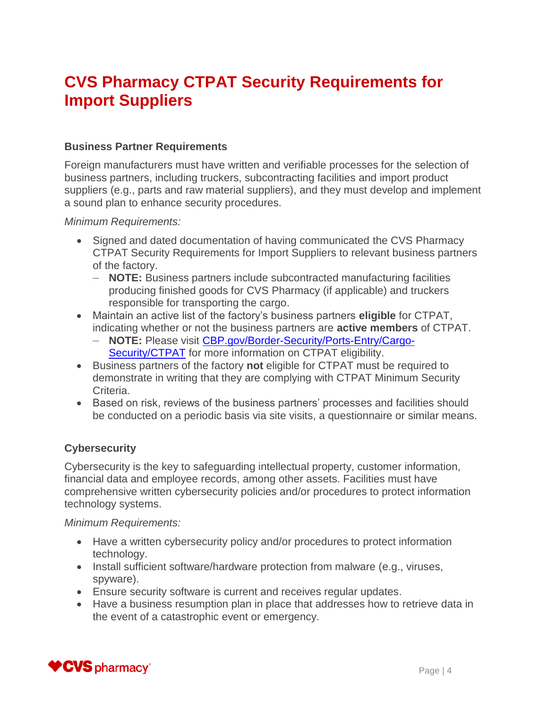## **CVS Pharmacy CTPAT Security Requirements for Import Suppliers**

#### **Business Partner Requirements**

Foreign manufacturers must have written and verifiable processes for the selection of business partners, including truckers, subcontracting facilities and import product suppliers (e.g., parts and raw material suppliers), and they must develop and implement a sound plan to enhance security procedures.

*Minimum Requirements:*

- Signed and dated documentation of having communicated the CVS Pharmacy CTPAT Security Requirements for Import Suppliers to relevant business partners of the factory.
	- **NOTE:** Business partners include subcontracted manufacturing facilities producing finished goods for CVS Pharmacy (if applicable) and truckers responsible for transporting the cargo.
- Maintain an active list of the factory's business partners **eligible** for CTPAT, indicating whether or not the business partners are **active members** of CTPAT.
	- **NOTE:** Please visit [CBP.gov/Border-Security/Ports-Entry/Cargo-](https://www.cbp.gov/border-security/ports-entry/cargo-security/ctpat)[Security/CTPAT](https://www.cbp.gov/border-security/ports-entry/cargo-security/ctpat) for more information on CTPAT eligibility.
- Business partners of the factory **not** eligible for CTPAT must be required to demonstrate in writing that they are complying with CTPAT Minimum Security Criteria.
- Based on risk, reviews of the business partners' processes and facilities should be conducted on a periodic basis via site visits, a questionnaire or similar means.

#### **Cybersecurity**

Cybersecurity is the key to safeguarding intellectual property, customer information, financial data and employee records, among other assets. Facilities must have comprehensive written cybersecurity policies and/or procedures to protect information technology systems.

- Have a written cybersecurity policy and/or procedures to protect information technology.
- Install sufficient software/hardware protection from malware (e.g., viruses, spyware).
- Ensure security software is current and receives regular updates.
- Have a business resumption plan in place that addresses how to retrieve data in the event of a catastrophic event or emergency.

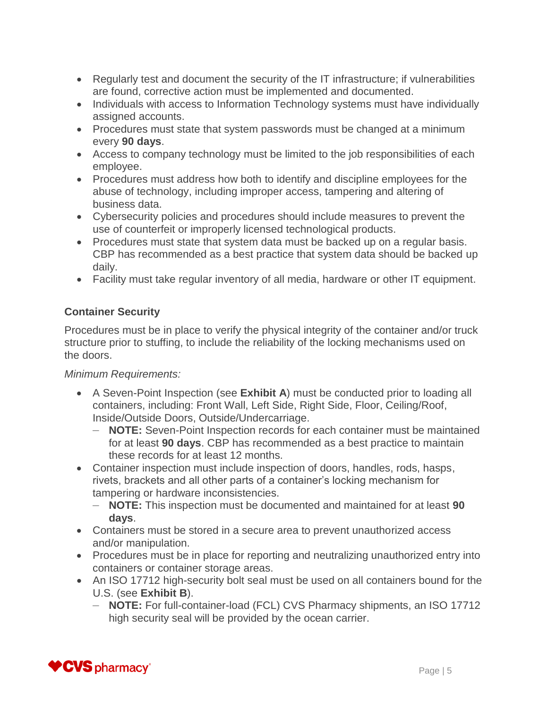- Regularly test and document the security of the IT infrastructure; if vulnerabilities are found, corrective action must be implemented and documented.
- Individuals with access to Information Technology systems must have individually assigned accounts.
- Procedures must state that system passwords must be changed at a minimum every **90 days**.
- Access to company technology must be limited to the job responsibilities of each employee.
- Procedures must address how both to identify and discipline employees for the abuse of technology, including improper access, tampering and altering of business data.
- Cybersecurity policies and procedures should include measures to prevent the use of counterfeit or improperly licensed technological products.
- Procedures must state that system data must be backed up on a regular basis. CBP has recommended as a best practice that system data should be backed up daily.
- Facility must take regular inventory of all media, hardware or other IT equipment.

#### **Container Security**

Procedures must be in place to verify the physical integrity of the container and/or truck structure prior to stuffing, to include the reliability of the locking mechanisms used on the doors.

- A Seven-Point Inspection (see **Exhibit A**) must be conducted prior to loading all containers, including: Front Wall, Left Side, Right Side, Floor, Ceiling/Roof, Inside/Outside Doors, Outside/Undercarriage.
	- **NOTE:** Seven-Point Inspection records for each container must be maintained for at least **90 days**. CBP has recommended as a best practice to maintain these records for at least 12 months.
- Container inspection must include inspection of doors, handles, rods, hasps, rivets, brackets and all other parts of a container's locking mechanism for tampering or hardware inconsistencies.
	- **NOTE:** This inspection must be documented and maintained for at least **90 days**.
- Containers must be stored in a secure area to prevent unauthorized access and/or manipulation.
- Procedures must be in place for reporting and neutralizing unauthorized entry into containers or container storage areas.
- An ISO 17712 high-security bolt seal must be used on all containers bound for the U.S. (see **Exhibit B**).
	- **NOTE:** For full-container-load (FCL) CVS Pharmacy shipments, an ISO 17712 high security seal will be provided by the ocean carrier.

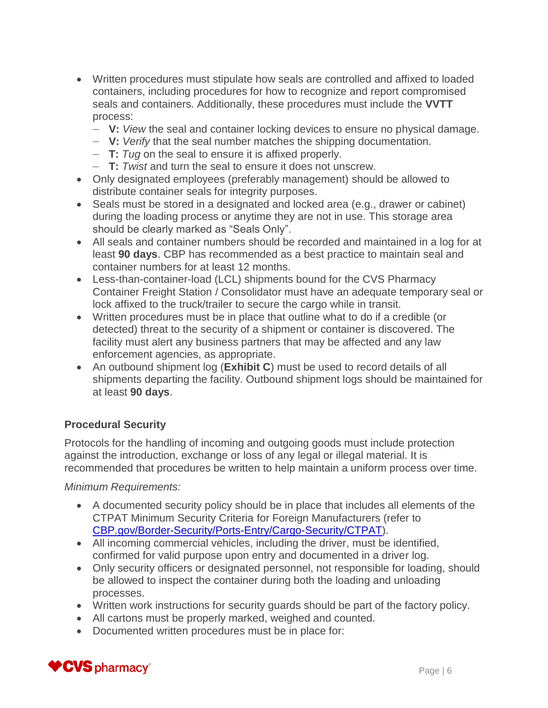- Written procedures must stipulate how seals are controlled and affixed to loaded containers, including procedures for how to recognize and report compromised seals and containers. Additionally, these procedures must include the **VVTT** process:
	- **V:** *View* the seal and container locking devices to ensure no physical damage.
	- **V:** *Verify* that the seal number matches the shipping documentation.
	- **T:** *Tug* on the seal to ensure it is affixed properly.
	- **T:** *Twist* and turn the seal to ensure it does not unscrew.
- Only designated employees (preferably management) should be allowed to distribute container seals for integrity purposes.
- Seals must be stored in a designated and locked area (e.g., drawer or cabinet) during the loading process or anytime they are not in use. This storage area should be clearly marked as "Seals Only".
- All seals and container numbers should be recorded and maintained in a log for at least **90 days**. CBP has recommended as a best practice to maintain seal and container numbers for at least 12 months.
- Less-than-container-load (LCL) shipments bound for the CVS Pharmacy Container Freight Station / Consolidator must have an adequate temporary seal or lock affixed to the truck/trailer to secure the cargo while in transit.
- Written procedures must be in place that outline what to do if a credible (or detected) threat to the security of a shipment or container is discovered. The facility must alert any business partners that may be affected and any law enforcement agencies, as appropriate.
- An outbound shipment log (**Exhibit C**) must be used to record details of all shipments departing the facility. Outbound shipment logs should be maintained for at least **90 days**.

#### **Procedural Security**

Protocols for the handling of incoming and outgoing goods must include protection against the introduction, exchange or loss of any legal or illegal material. It is recommended that procedures be written to help maintain a uniform process over time.

- A documented security policy should be in place that includes all elements of the CTPAT Minimum Security Criteria for Foreign Manufacturers (refer to [CBP.gov/Border-Security/Ports-Entry/Cargo-Security/CTPAT\)](https://www.cbp.gov/border-security/ports-entry/cargo-security/ctpat).
- All incoming commercial vehicles, including the driver, must be identified, confirmed for valid purpose upon entry and documented in a driver log.
- Only security officers or designated personnel, not responsible for loading, should be allowed to inspect the container during both the loading and unloading processes.
- Written work instructions for security guards should be part of the factory policy.
- All cartons must be properly marked, weighed and counted.
- Documented written procedures must be in place for:

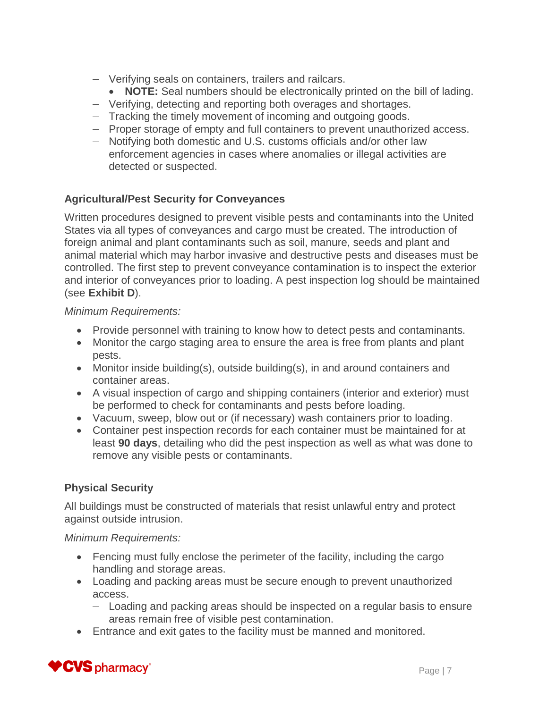- Verifying seals on containers, trailers and railcars.
	- **NOTE:** Seal numbers should be electronically printed on the bill of lading.
- Verifying, detecting and reporting both overages and shortages.
- Tracking the timely movement of incoming and outgoing goods.
- Proper storage of empty and full containers to prevent unauthorized access.
- Notifying both domestic and U.S. customs officials and/or other law enforcement agencies in cases where anomalies or illegal activities are detected or suspected.

#### **Agricultural/Pest Security for Conveyances**

Written procedures designed to prevent visible pests and contaminants into the United States via all types of conveyances and cargo must be created. The introduction of foreign animal and plant contaminants such as soil, manure, seeds and plant and animal material which may harbor invasive and destructive pests and diseases must be controlled. The first step to prevent conveyance contamination is to inspect the exterior and interior of conveyances prior to loading. A pest inspection log should be maintained (see **Exhibit D**).

#### *Minimum Requirements:*

- Provide personnel with training to know how to detect pests and contaminants.
- Monitor the cargo staging area to ensure the area is free from plants and plant pests.
- Monitor inside building(s), outside building(s), in and around containers and container areas.
- A visual inspection of cargo and shipping containers (interior and exterior) must be performed to check for contaminants and pests before loading.
- Vacuum, sweep, blow out or (if necessary) wash containers prior to loading.
- Container pest inspection records for each container must be maintained for at least **90 days**, detailing who did the pest inspection as well as what was done to remove any visible pests or contaminants.

#### **Physical Security**

All buildings must be constructed of materials that resist unlawful entry and protect against outside intrusion.

#### *Minimum Requirements:*

- Fencing must fully enclose the perimeter of the facility, including the cargo handling and storage areas.
- Loading and packing areas must be secure enough to prevent unauthorized access.
	- Loading and packing areas should be inspected on a regular basis to ensure areas remain free of visible pest contamination.
- Entrance and exit gates to the facility must be manned and monitored.

### CVS pharmacy\*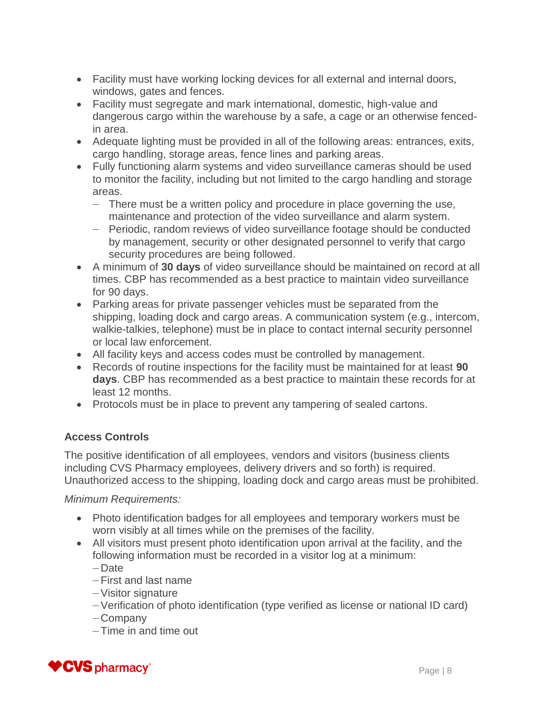- Facility must have working locking devices for all external and internal doors, windows, gates and fences.
- Facility must segregate and mark international, domestic, high-value and dangerous cargo within the warehouse by a safe, a cage or an otherwise fencedin area.
- Adequate lighting must be provided in all of the following areas: entrances, exits, cargo handling, storage areas, fence lines and parking areas.
- Fully functioning alarm systems and video surveillance cameras should be used to monitor the facility, including but not limited to the cargo handling and storage areas.
	- There must be a written policy and procedure in place governing the use, maintenance and protection of the video surveillance and alarm system.
	- Periodic, random reviews of video surveillance footage should be conducted by management, security or other designated personnel to verify that cargo security procedures are being followed.
- A minimum of **30 days** of video surveillance should be maintained on record at all times. CBP has recommended as a best practice to maintain video surveillance for 90 days.
- Parking areas for private passenger vehicles must be separated from the shipping, loading dock and cargo areas. A communication system (e.g., intercom, walkie-talkies, telephone) must be in place to contact internal security personnel or local law enforcement.
- All facility keys and access codes must be controlled by management.
- Records of routine inspections for the facility must be maintained for at least **90 days**. CBP has recommended as a best practice to maintain these records for at least 12 months.
- Protocols must be in place to prevent any tampering of sealed cartons.

### **Access Controls**

The positive identification of all employees, vendors and visitors (business clients including CVS Pharmacy employees, delivery drivers and so forth) is required. Unauthorized access to the shipping, loading dock and cargo areas must be prohibited.

*Minimum Requirements:*

- Photo identification badges for all employees and temporary workers must be worn visibly at all times while on the premises of the facility.
- All visitors must present photo identification upon arrival at the facility, and the following information must be recorded in a visitor log at a minimum:

— Date

- —First and last name
- —Visitor signature
- —Verification of photo identification (type verified as license or national ID card)
- Company
- —Time in and time out

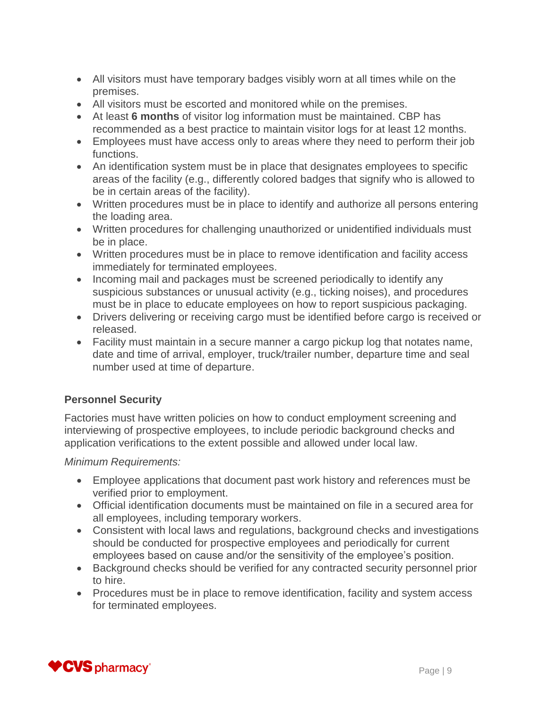- All visitors must have temporary badges visibly worn at all times while on the premises.
- All visitors must be escorted and monitored while on the premises.
- At least **6 months** of visitor log information must be maintained. CBP has recommended as a best practice to maintain visitor logs for at least 12 months.
- Employees must have access only to areas where they need to perform their job functions.
- An identification system must be in place that designates employees to specific areas of the facility (e.g., differently colored badges that signify who is allowed to be in certain areas of the facility).
- Written procedures must be in place to identify and authorize all persons entering the loading area.
- Written procedures for challenging unauthorized or unidentified individuals must be in place.
- Written procedures must be in place to remove identification and facility access immediately for terminated employees.
- Incoming mail and packages must be screened periodically to identify any suspicious substances or unusual activity (e.g., ticking noises), and procedures must be in place to educate employees on how to report suspicious packaging.
- Drivers delivering or receiving cargo must be identified before cargo is received or released.
- Facility must maintain in a secure manner a cargo pickup log that notates name, date and time of arrival, employer, truck/trailer number, departure time and seal number used at time of departure.

#### **Personnel Security**

Factories must have written policies on how to conduct employment screening and interviewing of prospective employees, to include periodic background checks and application verifications to the extent possible and allowed under local law.

- Employee applications that document past work history and references must be verified prior to employment.
- Official identification documents must be maintained on file in a secured area for all employees, including temporary workers.
- Consistent with local laws and regulations, background checks and investigations should be conducted for prospective employees and periodically for current employees based on cause and/or the sensitivity of the employee's position.
- Background checks should be verified for any contracted security personnel prior to hire.
- Procedures must be in place to remove identification, facility and system access for terminated employees.

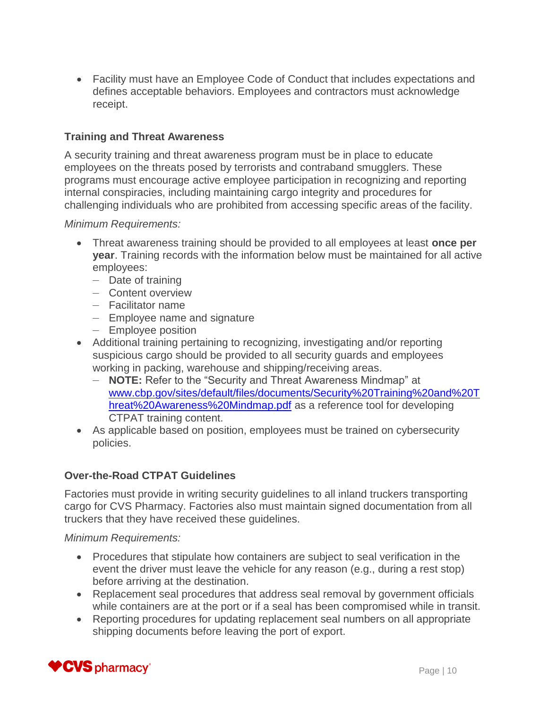Facility must have an Employee Code of Conduct that includes expectations and defines acceptable behaviors. Employees and contractors must acknowledge receipt.

#### **Training and Threat Awareness**

A security training and threat awareness program must be in place to educate employees on the threats posed by terrorists and contraband smugglers. These programs must encourage active employee participation in recognizing and reporting internal conspiracies, including maintaining cargo integrity and procedures for challenging individuals who are prohibited from accessing specific areas of the facility.

#### *Minimum Requirements:*

- Threat awareness training should be provided to all employees at least **once per year**. Training records with the information below must be maintained for all active employees:
	- Date of training
	- Content overview
	- Facilitator name
	- Employee name and signature
	- Employee position
- Additional training pertaining to recognizing, investigating and/or reporting suspicious cargo should be provided to all security guards and employees working in packing, warehouse and shipping/receiving areas.
	- **NOTE:** Refer to the "Security and Threat Awareness Mindmap" at [www.cbp.gov/sites/default/files/documents/Security%20Training%20and%20T](https://www.cbp.gov/sites/default/files/documents/Security%20Training%20and%20Threat%20Awareness%20Mindmap.pdf) [hreat%20Awareness%20Mindmap.pdf](https://www.cbp.gov/sites/default/files/documents/Security%20Training%20and%20Threat%20Awareness%20Mindmap.pdf) as a reference tool for developing CTPAT training content.
- As applicable based on position, employees must be trained on cybersecurity policies.

#### **Over-the-Road CTPAT Guidelines**

Factories must provide in writing security guidelines to all inland truckers transporting cargo for CVS Pharmacy. Factories also must maintain signed documentation from all truckers that they have received these guidelines.

#### *Minimum Requirements:*

- Procedures that stipulate how containers are subject to seal verification in the event the driver must leave the vehicle for any reason (e.g., during a rest stop) before arriving at the destination.
- Replacement seal procedures that address seal removal by government officials while containers are at the port or if a seal has been compromised while in transit.
- Reporting procedures for updating replacement seal numbers on all appropriate shipping documents before leaving the port of export.

### $PCVS$  pharmacy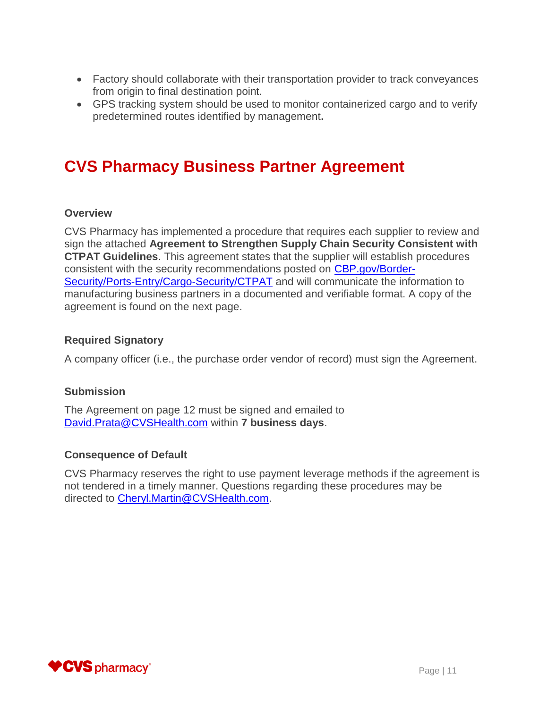- Factory should collaborate with their transportation provider to track conveyances from origin to final destination point.
- GPS tracking system should be used to monitor containerized cargo and to verify predetermined routes identified by management**.**

## **CVS Pharmacy Business Partner Agreement**

#### **Overview**

CVS Pharmacy has implemented a procedure that requires each supplier to review and sign the attached **Agreement to Strengthen Supply Chain Security Consistent with CTPAT Guidelines**. This agreement states that the supplier will establish procedures consistent with the security recommendations posted on [CBP.gov/Border-](https://www.cbp.gov/border-security/ports-entry/cargo-security/ctpat)[Security/Ports-Entry/Cargo-Security/CTPAT](https://www.cbp.gov/border-security/ports-entry/cargo-security/ctpat) and will communicate the information to manufacturing business partners in a documented and verifiable format. A copy of the agreement is found on the next page.

#### **Required Signatory**

A company officer (i.e., the purchase order vendor of record) must sign the Agreement.

#### **Submission**

The Agreement on page 12 must be signed and emailed to [David.Prata@CVSHealth.com](mailto:david.prata@cvshealth.com) within **7 business days**.

#### **Consequence of Default**

CVS Pharmacy reserves the right to use payment leverage methods if the agreement is not tendered in a timely manner. Questions regarding these procedures may be directed to [Cheryl.Martin@CVSHealth.com.](mailto:cheryl.martin@cvshealth.com)

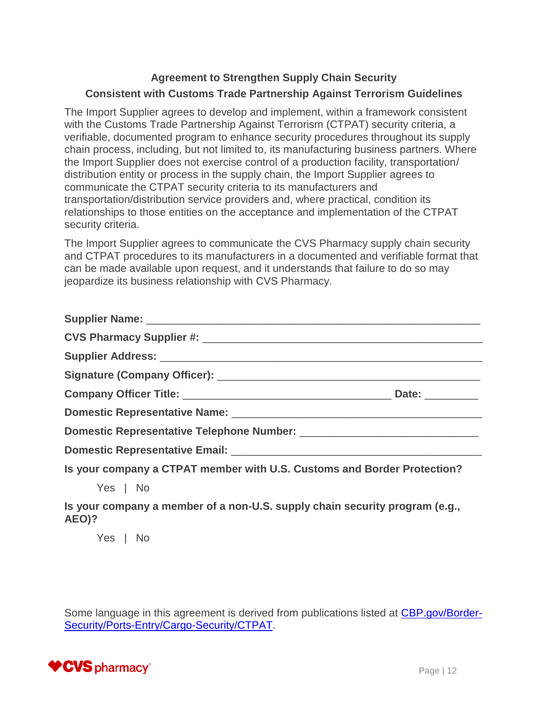### **Agreement to Strengthen Supply Chain Security Consistent with Customs Trade Partnership Against Terrorism Guidelines**

The Import Supplier agrees to develop and implement, within a framework consistent with the Customs Trade Partnership Against Terrorism (CTPAT) security criteria, a verifiable, documented program to enhance security procedures throughout its supply chain process, including, but not limited to, its manufacturing business partners. Where the Import Supplier does not exercise control of a production facility, transportation/ distribution entity or process in the supply chain, the Import Supplier agrees to communicate the CTPAT security criteria to its manufacturers and transportation/distribution service providers and, where practical, condition its relationships to those entities on the acceptance and implementation of the CTPAT security criteria.

The Import Supplier agrees to communicate the CVS Pharmacy supply chain security and CTPAT procedures to its manufacturers in a documented and verifiable format that can be made available upon request, and it understands that failure to do so may jeopardize its business relationship with CVS Pharmacy.

| Supplier Name: Name: Name: Name: Name: Name: Name: Name: Name: Name: Name: Name: Name: Name: Name: N                                                                                                                           |  |
|--------------------------------------------------------------------------------------------------------------------------------------------------------------------------------------------------------------------------------|--|
|                                                                                                                                                                                                                                |  |
|                                                                                                                                                                                                                                |  |
|                                                                                                                                                                                                                                |  |
|                                                                                                                                                                                                                                |  |
|                                                                                                                                                                                                                                |  |
|                                                                                                                                                                                                                                |  |
| Domestic Representative Email: University of the Communication of the Communication of the Communication of the Communication of the Communication of the Communication of the Communication of the Communication of the Commu |  |
| Is your company a CTPAT member with U.S. Customs and Border Protection?                                                                                                                                                        |  |
| Yes   No                                                                                                                                                                                                                       |  |
| Is your company a member of a non-U.S. supply chain security program (e.g.,<br>AEO)?                                                                                                                                           |  |

Yes | No

Some language in this agreement is derived from publications listed at [CBP.gov/Border-](https://www.cbp.gov/border-security/ports-entry/cargo-security/ctpat)[Security/Ports-Entry/Cargo-Security/CTPAT.](https://www.cbp.gov/border-security/ports-entry/cargo-security/ctpat)

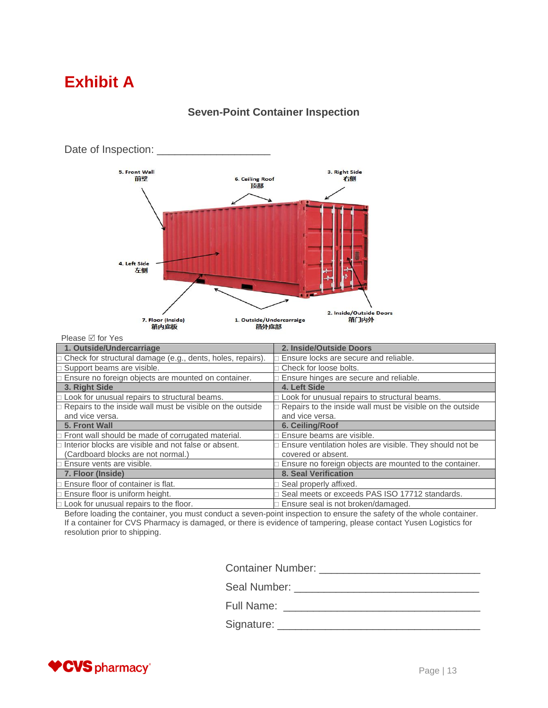## **Exhibit A**



#### **Seven-Point Container Inspection**

| FICASC MIULICS                                                   |                                                           |
|------------------------------------------------------------------|-----------------------------------------------------------|
| 1. Outside/Undercarriage                                         | 2. Inside/Outside Doors                                   |
| Check for structural damage (e.g., dents, holes, repairs).       | Ensure locks are secure and reliable.                     |
| $\square$ Support beams are visible.                             | $\Box$ Check for loose bolts.                             |
| Ensure no foreign objects are mounted on container.              | Ensure hinges are secure and reliable.                    |
| 3. Right Side                                                    | 4. Left Side                                              |
| $\square$ Look for unusual repairs to structural beams.          | □ Look for unusual repairs to structural beams.           |
| $\Box$ Repairs to the inside wall must be visible on the outside | Repairs to the inside wall must be visible on the outside |
| and vice versa.                                                  | and vice versa.                                           |
| 5. Front Wall                                                    | 6. Ceiling/Roof                                           |
| $\Box$ Front wall should be made of corrugated material.         | Ensure beams are visible.                                 |
| $\Box$ Interior blocks are visible and not false or absent.      | Ensure ventilation holes are visible. They should not be  |
| (Cardboard blocks are not normal.)                               | covered or absent.                                        |
| $\Box$ Ensure vents are visible.                                 | Ensure no foreign objects are mounted to the container.   |
| 7. Floor (Inside)                                                | 8. Seal Verification                                      |
| Ensure floor of container is flat.                               | □ Seal properly affixed.                                  |
| $\Box$ Ensure floor is uniform height.                           | Seal meets or exceeds PAS ISO 17712 standards.            |
| $\Box$ Look for unusual repairs to the floor.                    | $\Box$ Ensure seal is not broken/damaged.                 |

Before loading the container, you must conduct a seven-point inspection to ensure the safety of the whole container. If a container for CVS Pharmacy is damaged, or there is evidence of tampering, please contact Yusen Logistics for resolution prior to shipping.

Container Number: \_\_\_\_\_\_\_\_\_\_\_\_\_\_\_\_\_\_\_\_\_\_\_\_\_\_\_

Seal Number: \_\_\_\_\_\_\_\_\_\_\_\_\_\_\_\_\_\_\_\_\_\_\_\_\_\_\_\_\_\_\_

Full Name: \_\_\_\_\_\_\_\_\_\_\_\_\_\_\_\_\_\_\_\_\_\_\_\_\_\_\_\_\_\_\_\_\_

Signature: \_\_\_\_\_\_\_\_\_\_\_\_\_\_\_\_\_\_\_\_\_\_\_\_\_\_\_\_\_\_\_\_\_\_

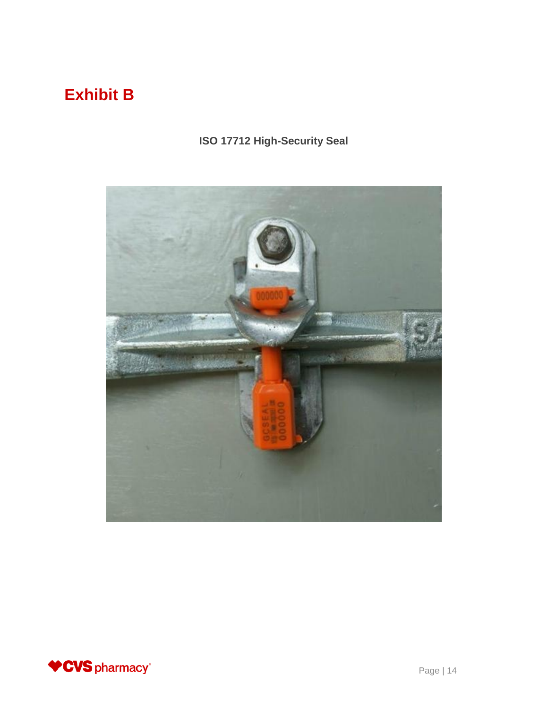# **Exhibit B**

### **ISO 17712 High-Security Seal**



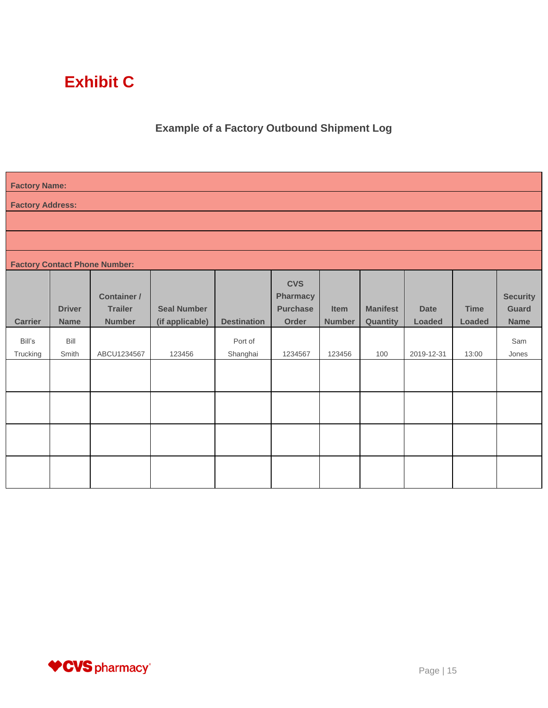# **Exhibit C**

### **Example of a Factory Outbound Shipment Log**

| <b>Factory Name:</b>    |                              |                                                       |                                       |                     |                                                           |                       |                             |                       |                              |                                                |
|-------------------------|------------------------------|-------------------------------------------------------|---------------------------------------|---------------------|-----------------------------------------------------------|-----------------------|-----------------------------|-----------------------|------------------------------|------------------------------------------------|
| <b>Factory Address:</b> |                              |                                                       |                                       |                     |                                                           |                       |                             |                       |                              |                                                |
|                         |                              |                                                       |                                       |                     |                                                           |                       |                             |                       |                              |                                                |
|                         |                              |                                                       |                                       |                     |                                                           |                       |                             |                       |                              |                                                |
|                         |                              | <b>Factory Contact Phone Number:</b>                  |                                       |                     |                                                           |                       |                             |                       |                              |                                                |
| <b>Carrier</b>          | <b>Driver</b><br><b>Name</b> | <b>Container /</b><br><b>Trailer</b><br><b>Number</b> | <b>Seal Number</b><br>(if applicable) | <b>Destination</b>  | <b>CVS</b><br><b>Pharmacy</b><br><b>Purchase</b><br>Order | Item<br><b>Number</b> | <b>Manifest</b><br>Quantity | <b>Date</b><br>Loaded | <b>Time</b><br><b>Loaded</b> | <b>Security</b><br><b>Guard</b><br><b>Name</b> |
| Bill's<br>Trucking      | Bill<br>Smith                | ABCU1234567                                           | 123456                                | Port of<br>Shanghai | 1234567                                                   | 123456                | 100                         | 2019-12-31            | 13:00                        | Sam<br>Jones                                   |
|                         |                              |                                                       |                                       |                     |                                                           |                       |                             |                       |                              |                                                |
|                         |                              |                                                       |                                       |                     |                                                           |                       |                             |                       |                              |                                                |
|                         |                              |                                                       |                                       |                     |                                                           |                       |                             |                       |                              |                                                |
|                         |                              |                                                       |                                       |                     |                                                           |                       |                             |                       |                              |                                                |